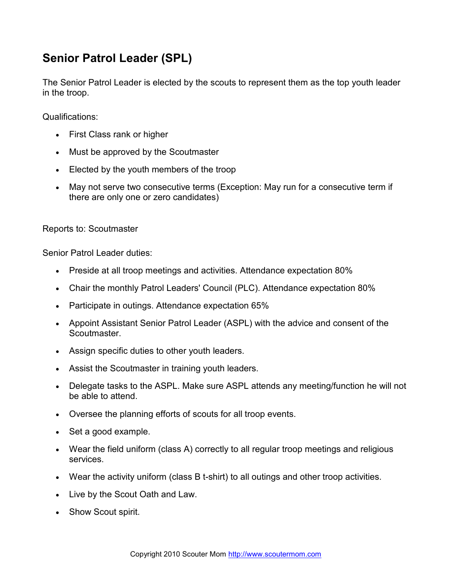## Senior Patrol Leader (SPL)

The Senior Patrol Leader is elected by the scouts to represent them as the top youth leader in the troop.

Qualifications:

- First Class rank or higher
- Must be approved by the Scoutmaster
- Elected by the youth members of the troop
- May not serve two consecutive terms (Exception: May run for a consecutive term if there are only one or zero candidates)

Reports to: Scoutmaster

Senior Patrol Leader duties:

- Preside at all troop meetings and activities. Attendance expectation 80%
- Chair the monthly Patrol Leaders' Council (PLC). Attendance expectation 80%
- Participate in outings. Attendance expectation 65%
- Appoint Assistant Senior Patrol Leader (ASPL) with the advice and consent of the Scoutmaster.
- Assign specific duties to other youth leaders.
- Assist the Scoutmaster in training youth leaders.
- Delegate tasks to the ASPL. Make sure ASPL attends any meeting/function he will not be able to attend.
- Oversee the planning efforts of scouts for all troop events.
- Set a good example.
- Wear the field uniform (class A) correctly to all regular troop meetings and religious services.
- Wear the activity uniform (class B t-shirt) to all outings and other troop activities.
- Live by the Scout Oath and Law.
- Show Scout spirit.